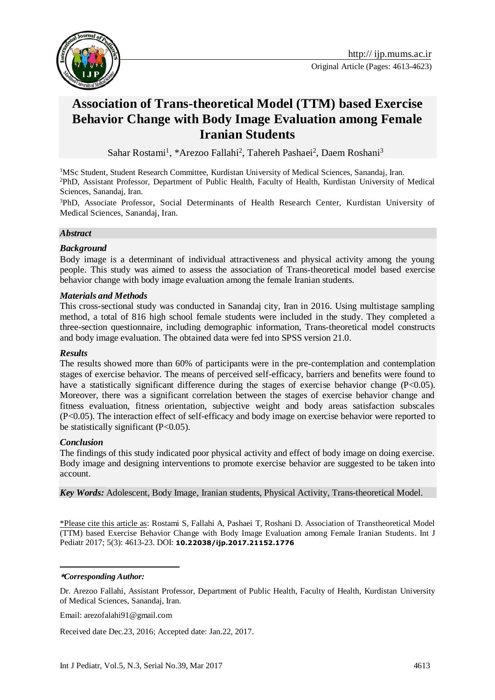

# **Association of Trans-theoretical Model (TTM) based Exercise Behavior Change with Body Image Evaluation among Female Iranian Students**

Sahar Rostami<sup>1</sup>, \*Arezoo Fallahi<sup>2</sup>, Tahereh Pashaei<sup>2</sup>, Daem Roshani<sup>3</sup>

<sup>1</sup>MSc Student, Student Research Committee, Kurdistan University of Medical Sciences, Sanandaj, Iran. <sup>2</sup>PhD, Assistant Professor*,* Department of Public Health, Faculty of Health, Kurdistan University of Medical Sciences, Sanandaj, Iran.

<sup>3</sup>PhD, Associate Professor*,* Social Determinants of Health Research Center, Kurdistan University of Medical Sciences, Sanandaj, Iran.

### *Abstract*

### *Background*

Body image is a determinant of individual attractiveness and physical activity among the young people. This study was aimed to assess the association of Trans-theoretical model based exercise behavior change with body image evaluation among the female Iranian students.

### *Materials and Methods*

This cross-sectional study was conducted in Sanandaj city, Iran in 2016. Using multistage sampling method, a total of 816 high school female students were included in the study. They completed a three-section questionnaire, including demographic information, Trans-theoretical model constructs and body image evaluation. The obtained data were fed into SPSS version 21.0.

#### *Results*

The results showed more than 60% of participants were in the pre-contemplation and contemplation stages of exercise behavior. The means of perceived self-efficacy, barriers and benefits were found to have a statistically significant difference during the stages of exercise behavior change  $(P<0.05)$ . Moreover, there was a significant correlation between the stages of exercise behavior change and fitness evaluation, fitness orientation, subjective weight and body areas satisfaction subscales (P<0.05). The interaction effect of self-efficacy and body image on exercise behavior were reported to be statistically significant  $(P<0.05)$ .

#### *Conclusion*

The findings of this study indicated poor physical activity and effect of body image on doing exercise. Body image and designing interventions to promote exercise behavior are suggested to be taken into account.

*Key Words:* Adolescent, Body Image, Iranian students, Physical Activity, Trans-theoretical Model.

\*Please cite this article as: Rostami S, Fallahi A, Pashaei T, Roshani D. Association of Transtheoretical Model (TTM) based Exercise Behavior Change with Body Image Evaluation among Female Iranian Students. Int J Pediatr 2017; 5(3): 4613-23. DOI: **10.22038/ijp.2017.21152.1776**

#### -**\****Corresponding Author:*

Dr. Arezoo Fallahi, Assistant Professor*,* Department of Public Health, Faculty of Health, Kurdistan University of Medical Sciences, Sanandaj, Iran.

Email: arezofalahi91@gmail.com

Received date Dec.23, 2016; Accepted date: Jan.22, 2017.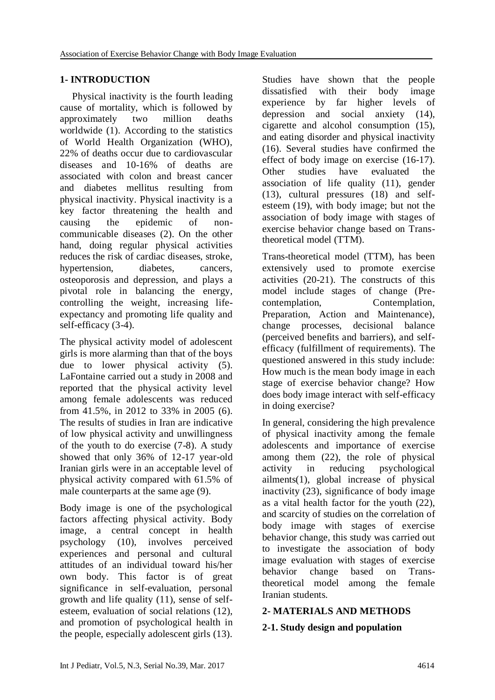# **1- INTRODUCTION**

 Physical inactivity is the fourth leading cause of mortality, which is followed by approximately two million deaths worldwide (1). According to the statistics of World Health Organization (WHO), 22% of deaths occur due to cardiovascular diseases and 10-16% of deaths are associated with colon and breast cancer and diabetes mellitus resulting from physical inactivity. Physical inactivity is a key factor threatening the health and causing the epidemic of noncommunicable diseases (2). On the other hand, doing regular physical activities reduces the risk of cardiac diseases, stroke, hypertension, diabetes, cancers, osteoporosis and depression, and plays a pivotal role in balancing the energy, controlling the weight, increasing lifeexpectancy and promoting life quality and self-efficacy (3-4).

The physical activity model of adolescent girls is more alarming than that of the boys due to lower physical activity (5). LaFontaine carried out a study in 2008 and reported that the physical activity level among female adolescents was reduced from 41.5%, in 2012 to 33% in 2005 (6). The results of studies in Iran are indicative of low physical activity and unwillingness of the youth to do exercise (7-8). A study showed that only 36% of 12-17 year-old Iranian girls were in an acceptable level of physical activity compared with 61.5% of male counterparts at the same age (9).

Body image is one of the psychological factors affecting physical activity. Body image, a central concept in health psychology (10), involves perceived experiences and personal and cultural attitudes of an individual toward his/her own body. This factor is of great significance in self-evaluation, personal growth and life quality (11), sense of selfesteem, evaluation of social relations (12), and promotion of psychological health in the people, especially adolescent girls (13).

Studies have shown that the people dissatisfied with their body image experience by far higher levels of depression and social anxiety (14), cigarette and alcohol consumption (15), and eating disorder and physical inactivity (16). Several studies have confirmed the effect of body image on exercise (16-17). Other studies have evaluated the association of life quality (11), gender (13), cultural pressures (18) and selfesteem (19), with body image; but not the association of body image with stages of exercise behavior change based on Transtheoretical model (TTM).

Trans-theoretical model (TTM), has been extensively used to promote exercise activities (20-21). The constructs of this model include stages of change (Precontemplation, Contemplation, Preparation, Action and Maintenance), change processes, decisional balance (perceived benefits and barriers), and selfefficacy (fulfillment of requirements). The questioned answered in this study include: How much is the mean body image in each stage of exercise behavior change? How does body image interact with self-efficacy in doing exercise?

In general, considering the high prevalence of physical inactivity among the female adolescents and importance of exercise among them (22), the role of physical activity in reducing psychological ailments(1), global increase of physical inactivity (23), significance of body image as a vital health factor for the youth (22), and scarcity of studies on the correlation of body image with stages of exercise behavior change, this study was carried out to investigate the association of body image evaluation with stages of exercise behavior change based on Transtheoretical model among the female Iranian students.

# **2- MATERIALS AND METHODS**

# **2-1. Study design and population**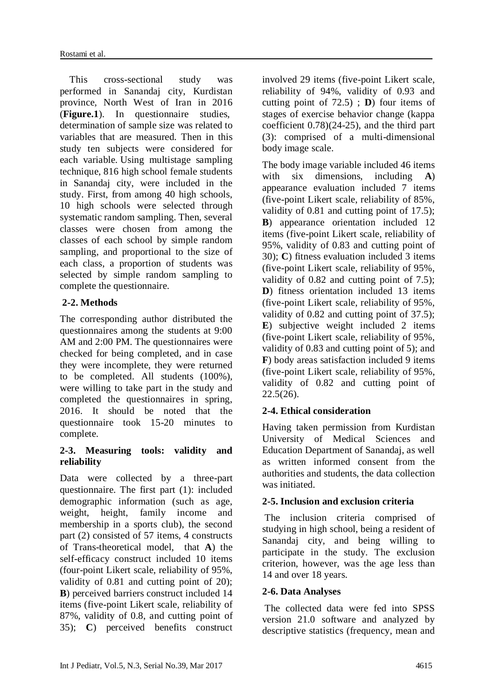This cross-sectional study was performed in Sanandaj city, Kurdistan province, North West of Iran in 2016 (**Figure.1**). In questionnaire studies, determination of sample size was related to variables that are measured. Then in this study ten subjects were considered for each variable. Using multistage sampling technique, 816 high school female students in Sanandaj city, were included in the study. First, from among 40 high schools, 10 high schools were selected through systematic random sampling. Then, several classes were chosen from among the classes of each school by simple random sampling, and proportional to the size of each class, a proportion of students was selected by simple random sampling to complete the questionnaire.

# **2-2. Methods**

The corresponding author distributed the questionnaires among the students at 9:00 AM and 2:00 PM. The questionnaires were checked for being completed, and in case they were incomplete, they were returned to be completed. All students (100%), were willing to take part in the study and completed the questionnaires in spring, 2016. It should be noted that the questionnaire took 15-20 minutes to complete.

## **2-3. Measuring tools: validity and reliability**

Data were collected by a three-part questionnaire. The first part (1): included demographic information (such as age, weight, height, family income and membership in a sports club), the second part (2) consisted of 57 items, 4 constructs of Trans-theoretical model, that **A**) the self-efficacy construct included 10 items (four-point Likert scale, reliability of 95%, validity of 0.81 and cutting point of 20); **B**) perceived barriers construct included 14 items (five-point Likert scale, reliability of 87%, validity of 0.8, and cutting point of 35); **C**) perceived benefits construct involved 29 items (five-point Likert scale, reliability of 94%, validity of 0.93 and cutting point of 72.5) ; **D**) four items of stages of exercise behavior change (kappa coefficient 0.78)(24-25), and the third part (3): comprised of a multi-dimensional body image scale.

The body image variable included 46 items with six dimensions, including **A**) appearance evaluation included 7 items (five-point Likert scale, reliability of 85%, validity of 0.81 and cutting point of 17.5); **B**) appearance orientation included 12 items (five-point Likert scale, reliability of 95%, validity of 0.83 and cutting point of 30); **C**) fitness evaluation included 3 items (five-point Likert scale, reliability of 95%, validity of 0.82 and cutting point of 7.5); **D**) fitness orientation included 13 items (five-point Likert scale, reliability of 95%, validity of 0.82 and cutting point of 37.5); **E**) subjective weight included 2 items (five-point Likert scale, reliability of 95%, validity of 0.83 and cutting point of 5); and **F**) body areas satisfaction included 9 items (five-point Likert scale, reliability of 95%, validity of 0.82 and cutting point of  $22.5(26)$ .

# **2-4. Ethical consideration**

Having taken permission from Kurdistan University of Medical Sciences and Education Department of Sanandaj, as well as written informed consent from the authorities and students, the data collection was initiated.

### **2-5. Inclusion and exclusion criteria**

The inclusion criteria comprised of studying in high school, being a resident of Sanandaj city, and being willing to participate in the study. The exclusion criterion, however, was the age less than 14 and over 18 years.

### **2-6. Data Analyses**

The collected data were fed into SPSS version 21.0 software and analyzed by descriptive statistics (frequency, mean and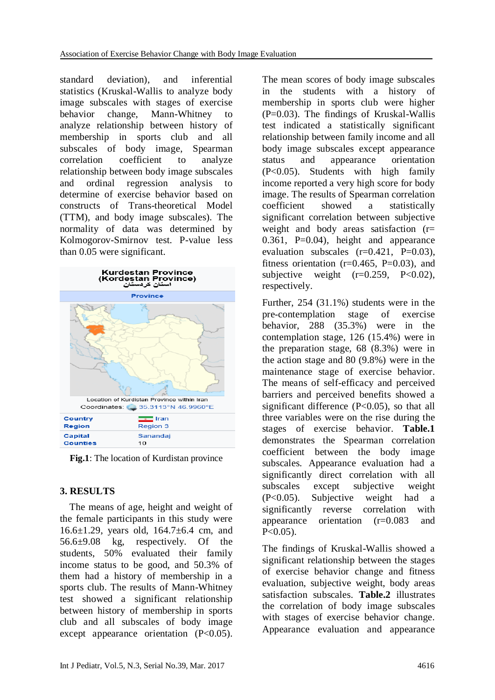standard deviation), and inferential statistics (Kruskal-Wallis to analyze body image subscales with stages of exercise behavior change, Mann-Whitney to analyze relationship between history of membership in sports club and all subscales of body image, Spearman correlation coefficient to analyze relationship between body image subscales and ordinal regression analysis to determine of exercise behavior based on constructs of Trans-theoretical Model (TTM), and body image subscales). The normality of data was determined by Kolmogorov-Smirnov test. P-value less than 0.05 were significant.



**Fig.1**: The location of Kurdistan province

# **3. RESULTS**

 The means of age, height and weight of the female participants in this study were 16.6±1.29, years old, 164.7±6.4 cm, and 56.6±9.08 kg, respectively. Of the students, 50% evaluated their family income status to be good, and 50.3% of them had a history of membership in a sports club. The results of Mann-Whitney test showed a significant relationship between history of membership in sports club and all subscales of body image except appearance orientation (P<0.05).

The mean scores of body image subscales in the students with a history of membership in sports club were higher  $(P=0.03)$ . The findings of Kruskal-Wallis test indicated a statistically significant relationship between family income and all body image subscales except appearance status and appearance orientation (P<0.05). Students with high family income reported a very high score for body image. The results of Spearman correlation coefficient showed a statistically significant correlation between subjective weight and body areas satisfaction (r=  $0.361$ , P= $0.04$ ), height and appearance evaluation subscales  $(r=0.421, P=0.03)$ , fitness orientation ( $r=0.465$ ,  $P=0.03$ ), and subjective weight  $(r=0.259, P<0.02)$ , respectively.

Further, 254 (31.1%) students were in the pre-contemplation stage of exercise behavior, 288 (35.3%) were in the contemplation stage, 126 (15.4%) were in the preparation stage, 68 (8.3%) were in the action stage and 80 (9.8%) were in the maintenance stage of exercise behavior. The means of self-efficacy and perceived barriers and perceived benefits showed a significant difference (P<0.05), so that all three variables were on the rise during the stages of exercise behavior. **Table.1** demonstrates the Spearman correlation coefficient between the body image subscales. Appearance evaluation had a significantly direct correlation with all subscales except subjective weight (P<0.05). Subjective weight had a significantly reverse correlation with appearance orientation (r=0.083 and  $P < 0.05$ ).

The findings of Kruskal-Wallis showed a significant relationship between the stages of exercise behavior change and fitness evaluation, subjective weight, body areas satisfaction subscales. **Table.2** illustrates the correlation of body image subscales with stages of exercise behavior change. Appearance evaluation and appearance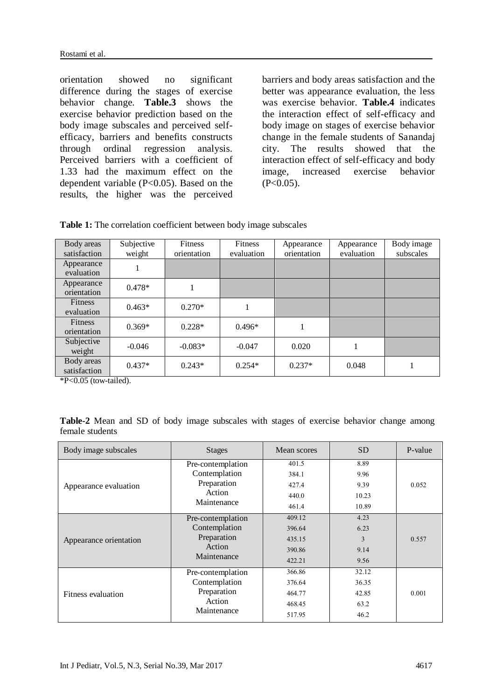orientation showed no significant difference during the stages of exercise behavior change. **Table.3** shows the exercise behavior prediction based on the body image subscales and perceived selfefficacy, barriers and benefits constructs through ordinal regression analysis. Perceived barriers with a coefficient of 1.33 had the maximum effect on the dependent variable (P<0.05). Based on the results, the higher was the perceived

barriers and body areas satisfaction and the better was appearance evaluation, the less was exercise behavior. **Table.4** indicates the interaction effect of self-efficacy and body image on stages of exercise behavior change in the female students of Sanandaj city. The results showed that the interaction effect of self-efficacy and body image, increased exercise behavior  $(P<0.05)$ .

| Body areas<br>satisfaction    | Subjective<br>weight | <b>Fitness</b><br>orientation | <b>Fitness</b><br>evaluation | Appearance<br>orientation | Appearance<br>evaluation | Body image<br>subscales |
|-------------------------------|----------------------|-------------------------------|------------------------------|---------------------------|--------------------------|-------------------------|
| Appearance<br>evaluation      |                      |                               |                              |                           |                          |                         |
| Appearance<br>orientation     | $0.478*$             | 1                             |                              |                           |                          |                         |
| <b>Fitness</b><br>evaluation  | $0.463*$             | $0.270*$                      | 1                            |                           |                          |                         |
| <b>Fitness</b><br>orientation | $0.369*$             | $0.228*$                      | $0.496*$                     |                           |                          |                         |
| Subjective<br>weight          | $-0.046$             | $-0.083*$                     | $-0.047$                     | 0.020                     | л.                       |                         |
| Body areas<br>satisfaction    | $0.437*$             | $0.243*$                      | $0.254*$                     | $0.237*$                  | 0.048                    |                         |

**Table 1:** The correlation coefficient between body image subscales

 $*P<0.05$  (tow-tailed).

**Table-2** Mean and SD of body image subscales with stages of exercise behavior change among female students

| Body image subscales      | <b>Stages</b>                      | Mean scores | <b>SD</b> | P-value |
|---------------------------|------------------------------------|-------------|-----------|---------|
|                           | Pre-contemplation                  | 401.5       | 8.89      |         |
|                           | Contemplation                      | 384.1       | 9.96      |         |
| Appearance evaluation     | Preparation                        | 427.4       | 9.39      | 0.052   |
|                           | Action                             | 440.0       | 10.23     |         |
|                           | Maintenance                        | 461.4       | 10.89     |         |
|                           | Pre-contemplation<br>Contemplation | 409.12      | 4.23      |         |
|                           |                                    | 396.64      | 6.23      |         |
| Appearance orientation    | Preparation                        | 435.15      | 3         | 0.557   |
|                           | Action<br>Maintenance              | 390.86      | 9.14      |         |
|                           |                                    | 422.21      | 9.56      |         |
|                           | Pre-contemplation                  | 366.86      | 32.12     |         |
|                           | Contemplation                      | 376.64      | 36.35     |         |
| <b>Fitness evaluation</b> | Preparation                        | 464.77      | 42.85     | 0.001   |
|                           | Action<br>Maintenance              | 468.45      | 63.2      |         |
|                           |                                    | 517.95      | 46.2      |         |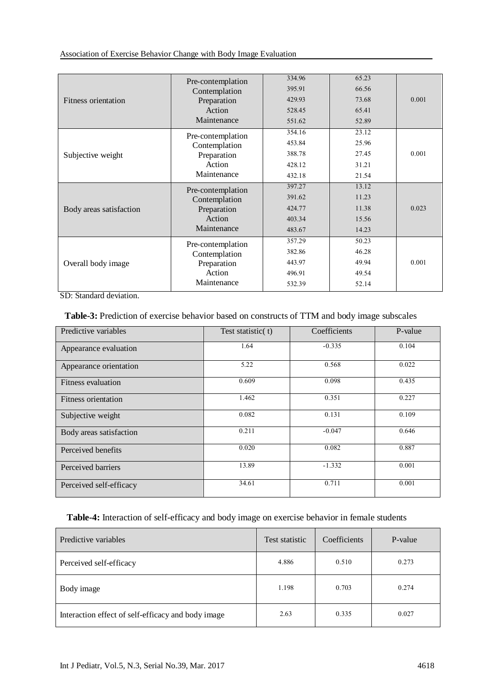### Association of Exercise Behavior Change with Body Image Evaluation

|                         | Pre-contemplation | 334.96 | 65.23 |       |
|-------------------------|-------------------|--------|-------|-------|
|                         | Contemplation     | 395.91 | 66.56 |       |
| Fitness orientation     | Preparation       | 429.93 | 73.68 | 0.001 |
|                         | Action            | 528.45 | 65.41 |       |
|                         | Maintenance       | 551.62 | 52.89 |       |
|                         | Pre-contemplation | 354.16 | 23.12 |       |
|                         | Contemplation     | 453.84 | 25.96 |       |
| Subjective weight       | Preparation       | 388.78 | 27.45 | 0.001 |
|                         | Action            | 428.12 | 31.21 |       |
|                         | Maintenance       | 432.18 | 21.54 |       |
|                         | Pre-contemplation | 397.27 | 13.12 |       |
|                         | Contemplation     | 391.62 | 11.23 |       |
| Body areas satisfaction | Preparation       | 424.77 | 11.38 | 0.023 |
|                         | Action            | 403.34 | 15.56 |       |
|                         | Maintenance       | 483.67 | 14.23 |       |
|                         | Pre-contemplation | 357.29 | 50.23 |       |
|                         | Contemplation     | 382.86 | 46.28 |       |
| Overall body image      | Preparation       | 443.97 | 49.94 | 0.001 |
|                         | Action            | 496.91 | 49.54 |       |
|                         | Maintenance       | 532.39 | 52.14 |       |
|                         |                   |        |       |       |

SD: Standard deviation.

### **Table-3:** Prediction of exercise behavior based on constructs of TTM and body image subscales

| Predictive variables    | Test statistic(t) | Coefficients | P-value |
|-------------------------|-------------------|--------------|---------|
| Appearance evaluation   | 1.64              | $-0.335$     | 0.104   |
| Appearance orientation  | 5.22              | 0.568        | 0.022   |
| Fitness evaluation      | 0.609             | 0.098        | 0.435   |
| Fitness orientation     | 1.462             | 0.351        | 0.227   |
| Subjective weight       | 0.082             | 0.131        | 0.109   |
| Body areas satisfaction | 0.211             | $-0.047$     | 0.646   |
| Perceived benefits      | 0.020             | 0.082        | 0.887   |
| Perceived barriers      | 13.89             | $-1.332$     | 0.001   |
| Perceived self-efficacy | 34.61             | 0.711        | 0.001   |

### **Table-4:** Interaction of self-efficacy and body image on exercise behavior in female students

| Predictive variables                               | Test statistic | Coefficients | P-value |
|----------------------------------------------------|----------------|--------------|---------|
| Perceived self-efficacy                            | 4.886          | 0.510        | 0.273   |
| Body image                                         | 1.198          | 0.703        | 0.274   |
| Interaction effect of self-efficacy and body image | 2.63           | 0.335        | 0.027   |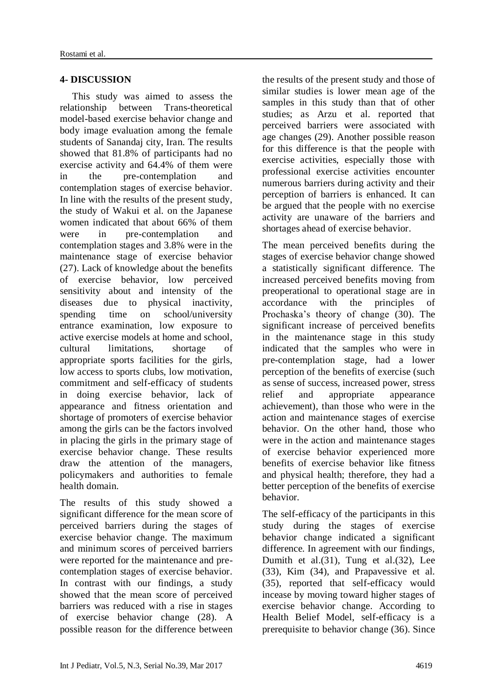# **4- DISCUSSION**

 This study was aimed to assess the relationship between Trans-theoretical model-based exercise behavior change and body image evaluation among the female students of Sanandaj city, Iran. The results showed that 81.8% of participants had no exercise activity and 64.4% of them were in the pre-contemplation and contemplation stages of exercise behavior. In line with the results of the present study, the study of Wakui et al. on the Japanese women indicated that about 66% of them were in pre-contemplation and contemplation stages and 3.8% were in the maintenance stage of exercise behavior (27). Lack of knowledge about the benefits of exercise behavior, low perceived sensitivity about and intensity of the diseases due to physical inactivity, spending time on school/university entrance examination, low exposure to active exercise models at home and school, cultural limitations, shortage of appropriate sports facilities for the girls, low access to sports clubs, low motivation, commitment and self-efficacy of students in doing exercise behavior, lack of appearance and fitness orientation and shortage of promoters of exercise behavior among the girls can be the factors involved in placing the girls in the primary stage of exercise behavior change. These results draw the attention of the managers, policymakers and authorities to female health domain.

The results of this study showed a significant difference for the mean score of perceived barriers during the stages of exercise behavior change. The maximum and minimum scores of perceived barriers were reported for the maintenance and precontemplation stages of exercise behavior. In contrast with our findings, a study showed that the mean score of perceived barriers was reduced with a rise in stages of exercise behavior change (28). A possible reason for the difference between

the results of the present study and those of similar studies is lower mean age of the samples in this study than that of other studies; as Arzu et al. reported that perceived barriers were associated with age changes (29). Another possible reason for this difference is that the people with exercise activities, especially those with professional exercise activities encounter numerous barriers during activity and their perception of barriers is enhanced. It can be argued that the people with no exercise activity are unaware of the barriers and shortages ahead of exercise behavior.

The mean perceived benefits during the stages of exercise behavior change showed a statistically significant difference. The increased perceived benefits moving from preoperational to operational stage are in accordance with the principles of Prochaska's theory of change (30). The significant increase of perceived benefits in the maintenance stage in this study indicated that the samples who were in pre-contemplation stage, had a lower perception of the benefits of exercise (such as sense of success, increased power, stress relief and appropriate appearance achievement), than those who were in the action and maintenance stages of exercise behavior. On the other hand, those who were in the action and maintenance stages of exercise behavior experienced more benefits of exercise behavior like fitness and physical health; therefore, they had a better perception of the benefits of exercise behavior.

The self-efficacy of the participants in this study during the stages of exercise behavior change indicated a significant difference. In agreement with our findings, Dumith et al.(31), Tung et al.(32), Lee (33), Kim (34), and Prapavessive et al. (35), reported that self-efficacy would incease by moving toward higher stages of exercise behavior change. According to Health Belief Model, self-efficacy is a prerequisite to behavior change (36). Since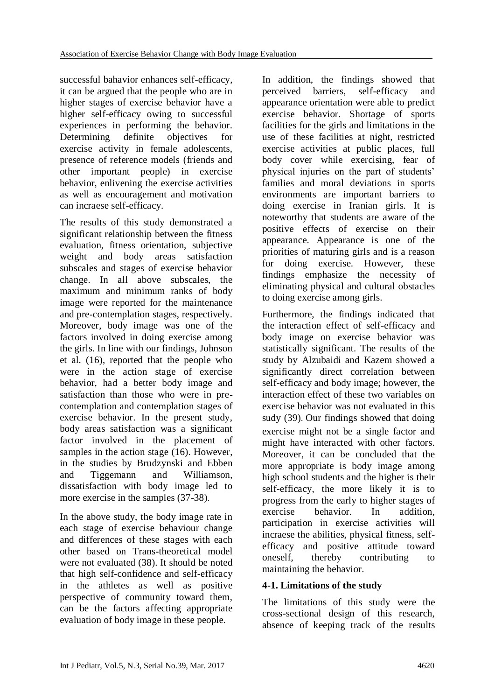successful bahavior enhances self-efficacy, it can be argued that the people who are in higher stages of exercise behavior have a higher self-efficacy owing to successful experiences in performing the behavior. Determining definite objectives for exercise activity in female adolescents, presence of reference models (friends and other important people) in exercise behavior, enlivening the exercise activities as well as encouragement and motivation can incraese self-efficacy.

The results of this study demonstrated a significant relationship between the fitness evaluation, fitness orientation, subjective weight and body areas satisfaction subscales and stages of exercise behavior change. In all above subscales, the maximum and minimum ranks of body image were reported for the maintenance and pre-contemplation stages, respectively. Moreover, body image was one of the factors involved in doing exercise among the girls. In line with our findings, Johnson et al. (16), reported that the people who were in the action stage of exercise behavior, had a better body image and satisfaction than those who were in precontemplation and contemplation stages of exercise behavior. In the present study, body areas satisfaction was a significant factor involved in the placement of samples in the action stage (16). However, in the studies by Brudzynski and Ebben and Tiggemann and Williamson, dissatisfaction with body image led to more exercise in the samples (37-38).

In the above study, the body image rate in each stage of exercise behaviour change and differences of these stages with each other based on Trans-theoretical model were not evaluated (38). It should be noted that high self-confidence and self-efficacy in the athletes as well as positive perspective of community toward them, can be the factors affecting appropriate evaluation of body image in these people.

In addition, the findings showed that perceived barriers, self-efficacy and appearance orientation were able to predict exercise behavior. Shortage of sports facilities for the girls and limitations in the use of these facilities at night, restricted exercise activities at public places, full body cover while exercising, fear of physical injuries on the part of students' families and moral deviations in sports environments are important barriers to doing exercise in Iranian girls. It is noteworthy that students are aware of the positive effects of exercise on their appearance. Appearance is one of the priorities of maturing girls and is a reason for doing exercise. However, these findings emphasize the necessity of eliminating physical and cultural obstacles to doing exercise among girls.

Furthermore, the findings indicated that the interaction effect of self-efficacy and body image on exercise behavior was statistically significant. The results of the study by Alzubaidi and Kazem showed a significantly direct correlation between self-efficacy and body image; however, the interaction effect of these two variables on exercise behavior was not evaluated in this sudy (39). Our findings showed that doing exercise might not be a single factor and might have interacted with other factors. Moreover, it can be concluded that the more appropriate is body image among high school students and the higher is their self-efficacy, the more likely it is to progress from the early to higher stages of exercise behavior. In addition, participation in exercise activities will incraese the abilities, physical fitness, selfefficacy and positive attitude toward oneself, thereby contributing to maintaining the behavior.

### **4-1. Limitations of the study**

The limitations of this study were the cross-sectional design of this research, absence of keeping track of the results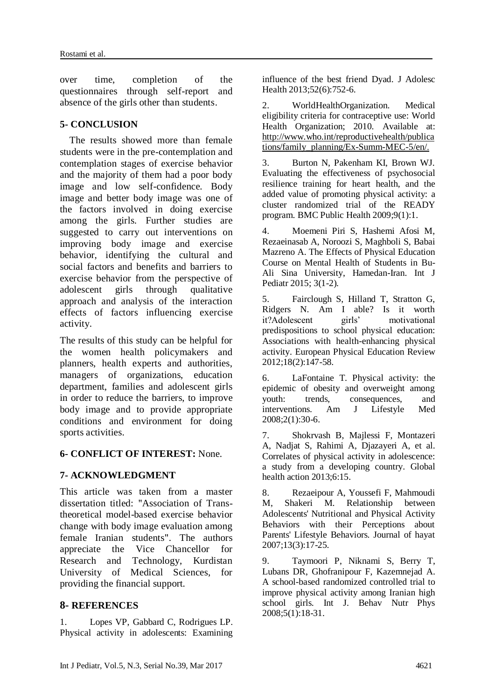over time, completion of the questionnaires through self-report and absence of the girls other than students.

### **5- CONCLUSION**

 The results showed more than female students were in the pre-contemplation and contemplation stages of exercise behavior and the majority of them had a poor body image and low self-confidence. Body image and better body image was one of the factors involved in doing exercise among the girls. Further studies are suggested to carry out interventions on improving body image and exercise behavior, identifying the cultural and social factors and benefits and barriers to exercise behavior from the perspective of adolescent girls through qualitative approach and analysis of the interaction effects of factors influencing exercise activity.

The results of this study can be helpful for the women health policymakers and planners, health experts and authorities, managers of organizations, education department, families and adolescent girls in order to reduce the barriers, to improve body image and to provide appropriate conditions and environment for doing sports activities.

### **6- CONFLICT OF INTEREST:** None.

# **7- ACKNOWLEDGMENT**

This article was taken from a master dissertation titled: "Association of Transtheoretical model-based exercise behavior change with body image evaluation among female Iranian students". The authors appreciate the Vice Chancellor for Research and Technology, Kurdistan University of Medical Sciences, for providing the financial support.

### **8- REFERENCES**

1. Lopes VP, Gabbard C, Rodrigues LP. Physical activity in adolescents: Examining influence of the best friend Dyad. J Adolesc Health 2013;52(6):752-6.

2. WorldHealthOrganization. Medical eligibility criteria for contraceptive use: World Health Organization; 2010. Available at: http://www.who.int/reproductivehealth/publica tions/family\_planning/Ex-Summ-MEC-5/en/.

3. Burton N, Pakenham KI, Brown WJ. Evaluating the effectiveness of psychosocial resilience training for heart health, and the added value of promoting physical activity: a cluster randomized trial of the READY program. BMC Public Health 2009;9(1):1.

4. Moemeni Piri S, Hashemi Afosi M, Rezaeinasab A, Noroozi S, Maghboli S, Babai Mazreno A. The Effects of Physical Education Course on Mental Health of Students in Bu-Ali Sina University, Hamedan-Iran. Int J Pediatr 2015; 3(1-2).

5. Fairclough S, Hilland T, Stratton G, Ridgers N. Am I able? Is it worth it?Adolescent girls' motivational predispositions to school physical education: Associations with health-enhancing physical activity. European Physical Education Review 2012;18(2):147-58.

6. LaFontaine T. Physical activity: the epidemic of obesity and overweight among youth: trends, consequences, and interventions. Am J Lifestyle Med 2008;2(1):30-6.

7. Shokrvash B, Majlessi F, Montazeri A, Nadjat S, Rahimi A, Djazayeri A, et al. Correlates of physical activity in adolescence: a study from a developing country. Global health action 2013;6:15.

8. Rezaeipour A, Youssefi F, Mahmoudi M, Shakeri M. Relationship between Adolescents' Nutritional and Physical Activity Behaviors with their Perceptions about Parents' Lifestyle Behaviors. Journal of hayat 2007;13(3):17-25.

9. Taymoori P, Niknami S, Berry T, Lubans DR, Ghofranipour F, Kazemnejad A. A school-based randomized controlled trial to improve physical activity among Iranian high school girls. Int J. Behav Nutr Phys 2008;5(1):18-31.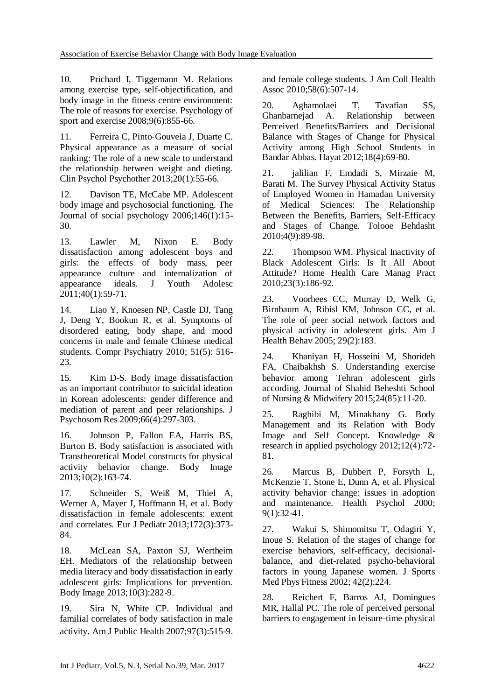10. Prichard I, Tiggemann M. Relations among exercise type, self-objectification, and body image in the fitness centre environment: The role of reasons for exercise. Psychology of sport and exercise 2008;9(6):855-66.

11. Ferreira C, Pinto-Gouveia J, Duarte C. Physical appearance as a measure of social ranking: The role of a new scale to understand the relationship between weight and dieting. Clin Psychol Psychother 2013;20(1):55-66.

12. Davison TE, McCabe MP. Adolescent body image and psychosocial functioning. The Journal of social psychology 2006;146(1):15- 30.

13. Lawler M, Nixon E. Body dissatisfaction among adolescent boys and girls: the effects of body mass, peer appearance culture and internalization of appearance ideals. J Youth Adolesc 2011;40(1):59-71.

14. Liao Y, Knoesen NP, Castle DJ, Tang J, Deng Y, Bookun R, et al. Symptoms of disordered eating, body shape, and mood concerns in male and female Chinese medical students. Compr Psychiatry 2010; 51(5): 516- 23.

15. Kim D-S. Body image dissatisfaction as an important contributor to suicidal ideation in Korean adolescents: gender difference and mediation of parent and peer relationships. J Psychosom Res 2009;66(4):297-303.

16. Johnson P, Fallon EA, Harris BS, Burton B. Body satisfaction is associated with Transtheoretical Model constructs for physical activity behavior change. Body Image 2013;10(2):163-74.

17. Schneider S, Weiß M, Thiel A, Werner A, Mayer J, Hoffmann H, et al. Body dissatisfaction in female adolescents: extent and correlates. Eur J Pediatr 2013;172(3):373- 84.

18. McLean SA, Paxton SJ, Wertheim EH. Mediators of the relationship between media literacy and body dissatisfaction in early adolescent girls: Implications for prevention. Body Image 2013;10(3):282-9.

19. Sira N, White CP. Individual and familial correlates of body satisfaction in male activity. Am J Public Health 2007;97(3):515-9. and female college students. J Am Coll Health Assoc 2010;58(6):507-14.

20. Aghamolaei T, Tavafian SS, Ghanbarnejad A. Relationship between Perceived Benefits/Barriers and Decisional Balance with Stages of Change for Physical Activity among High School Students in Bandar Abbas. Hayat 2012;18(4):69-80.

21. jalilian F, Emdadi S, Mirzaie M, Barati M. The Survey Physical Activity Status of Employed Women in Hamadan University of Medical Sciences: The Relationship Between the Benefits, Barriers, Self-Efficacy and Stages of Change. Tolooe Behdasht 2010;4(9):89-98.

22. Thompson WM. Physical Inactivity of Black Adolescent Girls: Is It All About Attitude? Home Health Care Manag Pract 2010;23(3):186-92.

23. Voorhees CC, Murray D, Welk G, Birnbaum A, Ribisl KM, Johnson CC, et al. The role of peer social network factors and physical activity in adolescent girls. Am J Health Behav 2005; 29(2):183.

24. Khaniyan H, Hosseini M, Shorideh FA, Chaibakhsh S. Understanding exercise behavior among Tehran adolescent girls according. Journal of Shahid Beheshti School of Nursing & Midwifery 2015;24(85):11-20.

25. Raghibi M, Minakhany G. Body Management and its Relation with Body Image and Self Concept. Knowledge & research in applied psychology 2012;12(4):72- 81.

26. Marcus B, Dubbert P, Forsyth L, McKenzie T, Stone E, Dunn A, et al. Physical activity behavior change: issues in adoption and maintenance. Health Psychol 2000; 9(1):32-41.

27. Wakui S, Shimomitsu T, Odagiri Y, Inoue S. Relation of the stages of change for exercise behaviors, self-efficacy, decisionalbalance, and diet-related psycho-behavioral factors in young Japanese women. J Sports Med Phys Fitness 2002; 42(2):224.

28. Reichert F, Barros AJ, Domingues MR, Hallal PC. The role of perceived personal barriers to engagement in leisure-time physical